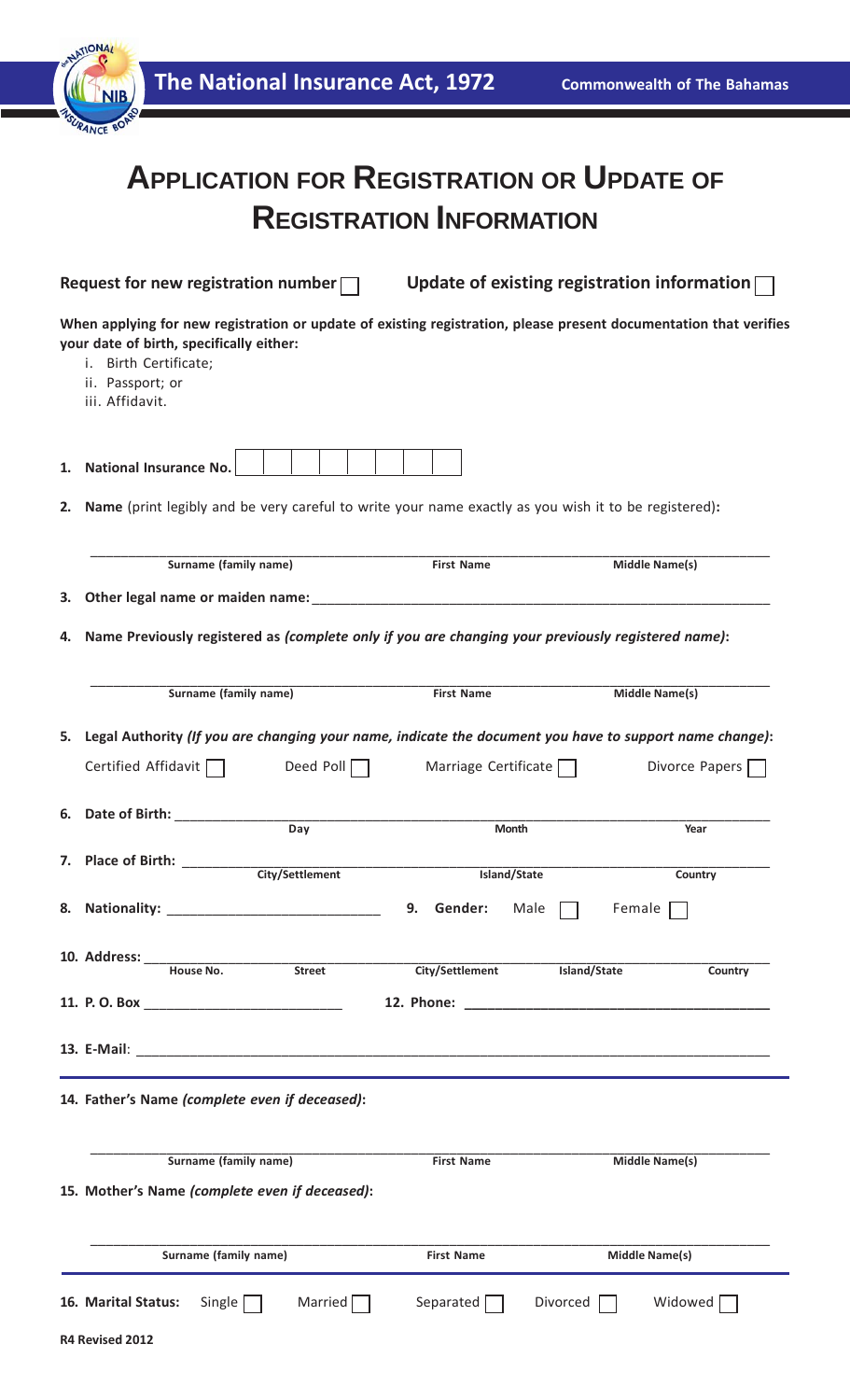| <b>ATIONA</b>                                                                                            |                                                                                                                   |                             |                                                    |                                    |  |  |
|----------------------------------------------------------------------------------------------------------|-------------------------------------------------------------------------------------------------------------------|-----------------------------|----------------------------------------------------|------------------------------------|--|--|
|                                                                                                          | The National Insurance Act, 1972                                                                                  |                             |                                                    | <b>Commonwealth of The Bahamas</b> |  |  |
|                                                                                                          |                                                                                                                   |                             |                                                    |                                    |  |  |
|                                                                                                          | <b>APPLICATION FOR REGISTRATION OR UPDATE OF</b>                                                                  |                             |                                                    |                                    |  |  |
| <b>REGISTRATION INFORMATION</b>                                                                          |                                                                                                                   |                             |                                                    |                                    |  |  |
|                                                                                                          |                                                                                                                   |                             |                                                    |                                    |  |  |
| Request for new registration number $\Box$                                                               |                                                                                                                   |                             | Update of existing registration information $\Box$ |                                    |  |  |
| your date of birth, specifically either:<br>i. Birth Certificate;<br>ii. Passport; or<br>iii. Affidavit. | When applying for new registration or update of existing registration, please present documentation that verifies |                             |                                                    |                                    |  |  |
| <b>National Insurance No.</b><br>1.                                                                      |                                                                                                                   |                             |                                                    |                                    |  |  |
| 2.                                                                                                       | Name (print legibly and be very careful to write your name exactly as you wish it to be registered):              |                             |                                                    |                                    |  |  |
|                                                                                                          | Surname (family name)                                                                                             | <b>First Name</b>           | <b>Middle Name(s)</b>                              |                                    |  |  |
| З.                                                                                                       | Other legal name or maiden name: __________                                                                       |                             |                                                    |                                    |  |  |
| 4.                                                                                                       | Name Previously registered as (complete only if you are changing your previously registered name):                |                             |                                                    |                                    |  |  |
|                                                                                                          | <b>Surname (family name)</b>                                                                                      | <b>First Name</b>           | Middle Name(s)                                     |                                    |  |  |
|                                                                                                          | 5. Legal Authority (If you are changing your name, indicate the document you have to support name change):        |                             |                                                    |                                    |  |  |
| Certified Affidavit $\Box$                                                                               | Deed Poll $\Box$                                                                                                  | Marriage Certificate $\Box$ |                                                    | Divorce Papers                     |  |  |
|                                                                                                          | 6. Date of Birth: Electric Actual Contract of Birth:                                                              |                             |                                                    |                                    |  |  |
|                                                                                                          | $\overline{Day}$                                                                                                  | <b>Month</b>                |                                                    | Year                               |  |  |
|                                                                                                          | 7. Place of Birth: City/Settlement                                                                                | Island/State                |                                                    | Country                            |  |  |
|                                                                                                          |                                                                                                                   | 9. Gender:<br>Male          | Female                                             |                                    |  |  |
|                                                                                                          |                                                                                                                   | City/Settlement             | Island/State                                       | Country                            |  |  |
|                                                                                                          |                                                                                                                   |                             |                                                    |                                    |  |  |
|                                                                                                          |                                                                                                                   |                             |                                                    |                                    |  |  |
|                                                                                                          |                                                                                                                   |                             |                                                    |                                    |  |  |
| 14. Father's Name (complete even if deceased):                                                           |                                                                                                                   |                             |                                                    |                                    |  |  |
|                                                                                                          | <b>Surname (family name)</b><br>15. Mother's Name (complete even if deceased):                                    | <b>First Name</b>           | Middle Name(s)                                     |                                    |  |  |
|                                                                                                          | Surname (family name)                                                                                             | <b>First Name</b>           | <b>Middle Name(s)</b>                              |                                    |  |  |
| 16. Marital Status:<br>R4 Revised 2012                                                                   | Single $\Box$<br>Married                                                                                          | Separated $\Box$            | Divorced                                           | Widowed [                          |  |  |